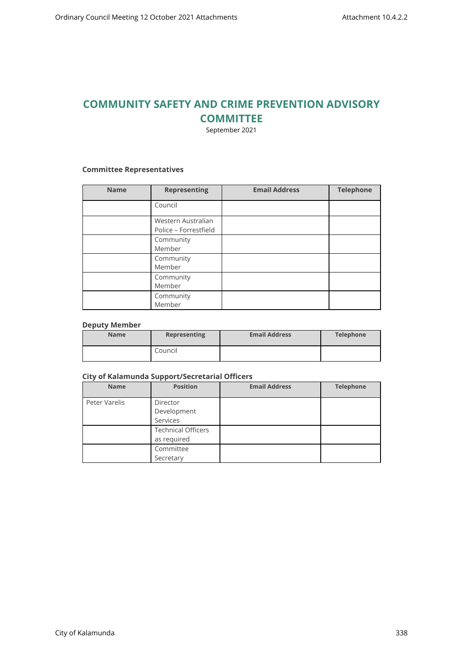# **COMMUNITY SAFETY AND CRIME PREVENTION ADVISORY COMMITTEE**

September 2021

### **Committee Representatives**

| <b>Name</b> | <b>Representing</b>                         | <b>Email Address</b> | <b>Telephone</b> |
|-------------|---------------------------------------------|----------------------|------------------|
|             | Council                                     |                      |                  |
|             | Western Australian<br>Police - Forrestfield |                      |                  |
|             | Community<br>Member                         |                      |                  |
|             | Community<br>Member                         |                      |                  |
|             | Community<br>Member                         |                      |                  |
|             | Community<br>Member                         |                      |                  |

#### **Deputy Member**

| <b>Name</b> | Representing | <b>Email Address</b> | Telephone |
|-------------|--------------|----------------------|-----------|
|             | Council      |                      |           |

### **City of Kalamunda Support/Secretarial Officers**

| <b>Name</b>   | <b>Position</b>                          | <b>Email Address</b> | <b>Telephone</b> |
|---------------|------------------------------------------|----------------------|------------------|
| Peter Varelis | Director<br>Development<br>Services      |                      |                  |
|               | <b>Technical Officers</b><br>as required |                      |                  |
|               | Committee<br>Secretary                   |                      |                  |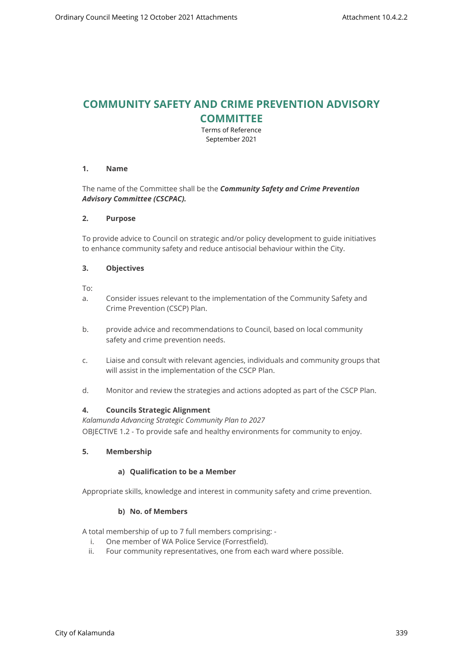# **COMMUNITY SAFETY AND CRIME PREVENTION ADVISORY COMMITTEE**

Terms of Reference September 2021

### **1. Name**

## The name of the Committee shall be the *Community Safety and Crime Prevention Advisory Committee (CSCPAC).*

#### **2. Purpose**

To provide advice to Council on strategic and/or policy development to guide initiatives to enhance community safety and reduce antisocial behaviour within the City.

### **3. Objectives**

To:

- a. Consider issues relevant to the implementation of the Community Safety and Crime Prevention (CSCP) Plan.
- b. provide advice and recommendations to Council, based on local community safety and crime prevention needs.
- c. Liaise and consult with relevant agencies, individuals and community groups that will assist in the implementation of the CSCP Plan.
- d. Monitor and review the strategies and actions adopted as part of the CSCP Plan.

## **4. Councils Strategic Alignment**

*Kalamunda Advancing Strategic Community Plan to 2027*  OBJECTIVE 1.2 - To provide safe and healthy environments for community to enjoy.

## **5. Membership**

## **a) Qualification to be a Member**

Appropriate skills, knowledge and interest in community safety and crime prevention.

## **b) No. of Members**

A total membership of up to 7 full members comprising: -

- i. One member of WA Police Service (Forrestfield).
- ii. Four community representatives, one from each ward where possible.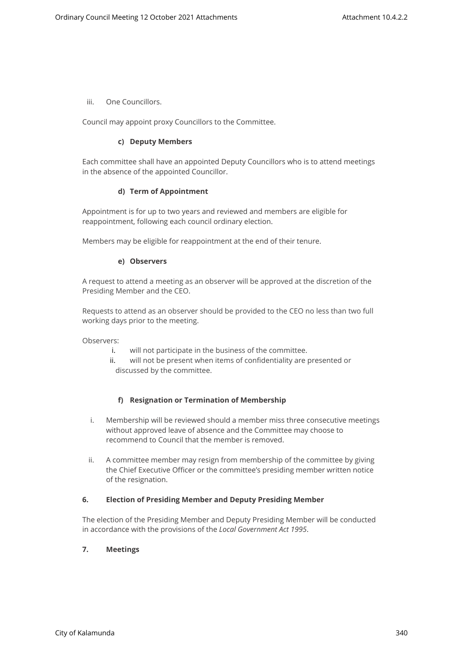iii. One Councillors.

Council may appoint proxy Councillors to the Committee.

### **c) Deputy Members**

Each committee shall have an appointed Deputy Councillors who is to attend meetings in the absence of the appointed Councillor.

### **d) Term of Appointment**

Appointment is for up to two years and reviewed and members are eligible for reappointment, following each council ordinary election.

Members may be eligible for reappointment at the end of their tenure.

### **e) Observers**

A request to attend a meeting as an observer will be approved at the discretion of the Presiding Member and the CEO.

Requests to attend as an observer should be provided to the CEO no less than two full working days prior to the meeting.

Observers:

- i. will not participate in the business of the committee.
- ii. will not be present when items of confidentiality are presented or discussed by the committee.

## **f) Resignation or Termination of Membership**

- i. Membership will be reviewed should a member miss three consecutive meetings without approved leave of absence and the Committee may choose to recommend to Council that the member is removed.
- ii. A committee member may resign from membership of the committee by giving the Chief Executive Officer or the committee's presiding member written notice of the resignation.

## **6. Election of Presiding Member and Deputy Presiding Member**

The election of the Presiding Member and Deputy Presiding Member will be conducted in accordance with the provisions of the *Local Government Act 1995*.

## **7. Meetings**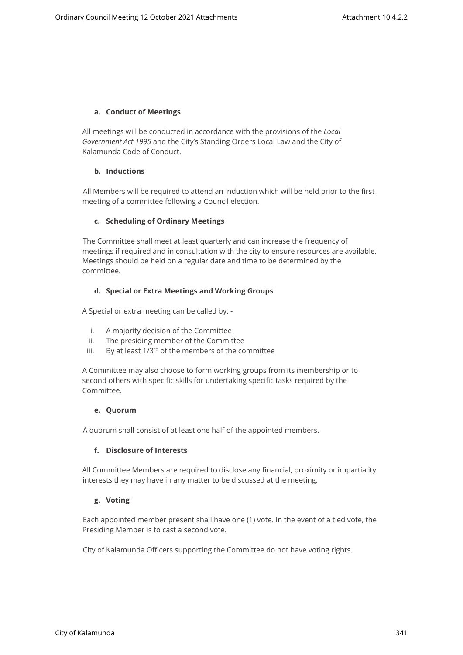## **a. Conduct of Meetings**

All meetings will be conducted in accordance with the provisions of the *Local Government Act 1995* and the City's Standing Orders Local Law and the City of Kalamunda Code of Conduct.

## **b. Inductions**

All Members will be required to attend an induction which will be held prior to the first meeting of a committee following a Council election.

## **c. Scheduling of Ordinary Meetings**

The Committee shall meet at least quarterly and can increase the frequency of meetings if required and in consultation with the city to ensure resources are available. Meetings should be held on a regular date and time to be determined by the committee.

## **d. Special or Extra Meetings and Working Groups**

A Special or extra meeting can be called by: -

- i. A majority decision of the Committee
- ii. The presiding member of the Committee
- iii. By at least 1/3<sup>rd</sup> of the members of the committee

A Committee may also choose to form working groups from its membership or to second others with specific skills for undertaking specific tasks required by the Committee.

## **e. Quorum**

A quorum shall consist of at least one half of the appointed members.

## **f. Disclosure of Interests**

All Committee Members are required to disclose any financial, proximity or impartiality interests they may have in any matter to be discussed at the meeting.

## **g. Voting**

Each appointed member present shall have one (1) vote. In the event of a tied vote, the Presiding Member is to cast a second vote.

City of Kalamunda Officers supporting the Committee do not have voting rights.